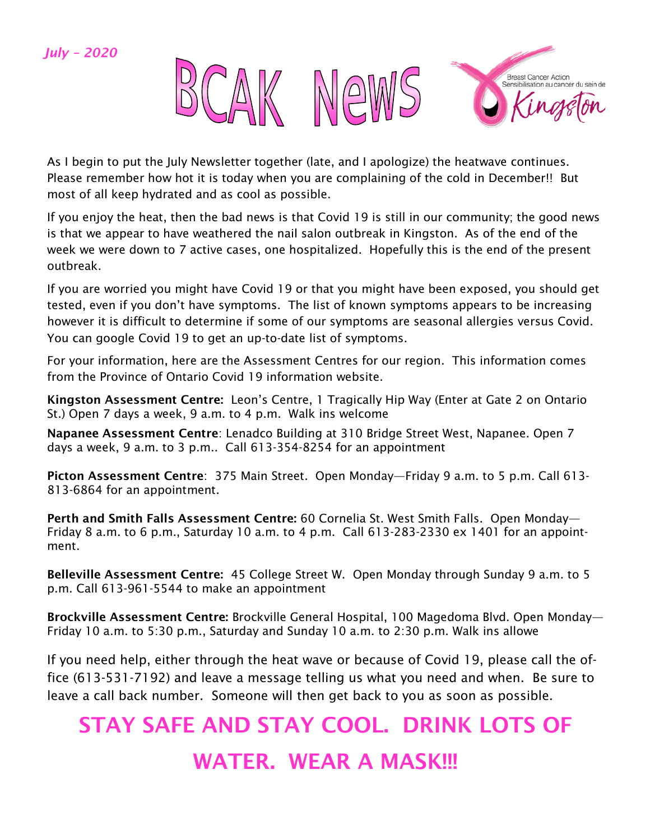#### *July – 2020*



As I begin to put the July Newsletter together (late, and I apologize) the heatwave continues. Please remember how hot it is today when you are complaining of the cold in December!! But most of all keep hydrated and as cool as possible.

If you enjoy the heat, then the bad news is that Covid 19 is still in our community; the good news is that we appear to have weathered the nail salon outbreak in Kingston. As of the end of the week we were down to 7 active cases, one hospitalized. Hopefully this is the end of the present outbreak.

If you are worried you might have Covid 19 or that you might have been exposed, you should get tested, even if you don't have symptoms. The list of known symptoms appears to be increasing however it is difficult to determine if some of our symptoms are seasonal allergies versus Covid. You can google Covid 19 to get an up-to-date list of symptoms.

For your information, here are the Assessment Centres for our region. This information comes from the Province of Ontario Covid 19 information website.

Kingston Assessment Centre: Leon's Centre, 1 Tragically Hip Way (Enter at Gate 2 on Ontario St.) Open 7 days a week, 9 a.m. to 4 p.m. Walk ins welcome

Napanee Assessment Centre: Lenadco Building at 310 Bridge Street West, Napanee. Open 7 days a week, 9 a.m. to 3 p.m.. Call 613-354-8254 for an appointment

Picton Assessment Centre: 375 Main Street. Open Monday—Friday 9 a.m. to 5 p.m. Call 613-813-6864 for an appointment.

Perth and Smith Falls Assessment Centre: 60 Cornelia St. West Smith Falls. Open Monday— Friday 8 a.m. to 6 p.m., Saturday 10 a.m. to 4 p.m. Call 613-283-2330 ex 1401 for an appointment.

Belleville Assessment Centre: 45 College Street W. Open Monday through Sunday 9 a.m. to 5 p.m. Call 613-961-5544 to make an appointment

Brockville Assessment Centre: Brockville General Hospital, 100 Magedoma Blvd. Open Monday— Friday 10 a.m. to 5:30 p.m., Saturday and Sunday 10 a.m. to 2:30 p.m. Walk ins allowe

If you need help, either through the heat wave or because of Covid 19, please call the office (613-531-7192) and leave a message telling us what you need and when. Be sure to leave a call back number. Someone will then get back to you as soon as possible.

# STAY SAFE AND STAY COOL. DRINK LOTS OF WATER. WEAR A MASK!!!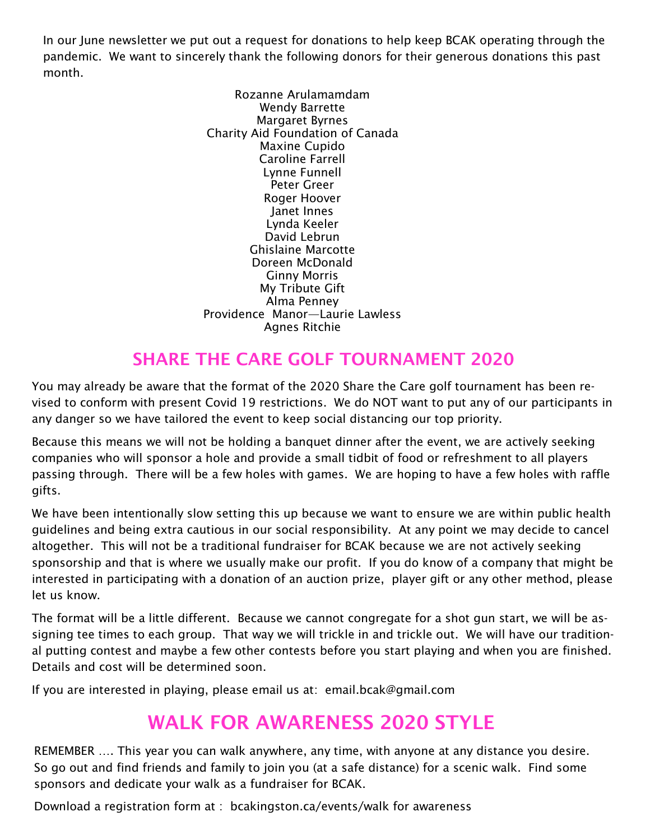In our June newsletter we put out a request for donations to help keep BCAK operating through the pandemic. We want to sincerely thank the following donors for their generous donations this past month.

> Rozanne Arulamamdam Wendy Barrette Margaret Byrnes Charity Aid Foundation of Canada Maxine Cupido Caroline Farrell Lynne Funnell Peter Greer Roger Hoover Janet Innes Lynda Keeler David Lebrun Ghislaine Marcotte Doreen McDonald Ginny Morris My Tribute Gift Alma Penney Providence Manor—Laurie Lawless Agnes Ritchie

#### SHARE THE CARE GOLF TOURNAMENT 2020

You may already be aware that the format of the 2020 Share the Care golf tournament has been revised to conform with present Covid 19 restrictions. We do NOT want to put any of our participants in any danger so we have tailored the event to keep social distancing our top priority.

Because this means we will not be holding a banquet dinner after the event, we are actively seeking companies who will sponsor a hole and provide a small tidbit of food or refreshment to all players passing through. There will be a few holes with games. We are hoping to have a few holes with raffle gifts.

We have been intentionally slow setting this up because we want to ensure we are within public health guidelines and being extra cautious in our social responsibility. At any point we may decide to cancel altogether. This will not be a traditional fundraiser for BCAK because we are not actively seeking sponsorship and that is where we usually make our profit. If you do know of a company that might be interested in participating with a donation of an auction prize, player gift or any other method, please let us know.

The format will be a little different. Because we cannot congregate for a shot gun start, we will be assigning tee times to each group. That way we will trickle in and trickle out. We will have our traditional putting contest and maybe a few other contests before you start playing and when you are finished. Details and cost will be determined soon.

If you are interested in playing, please email us at: email.bcak@gmail.com

# WALK FOR AWARENESS 2020 STYLE

REMEMBER …. This year you can walk anywhere, any time, with anyone at any distance you desire. So go out and find friends and family to join you (at a safe distance) for a scenic walk. Find some sponsors and dedicate your walk as a fundraiser for BCAK.

Download a registration form at : bcakingston.ca/events/walk for awareness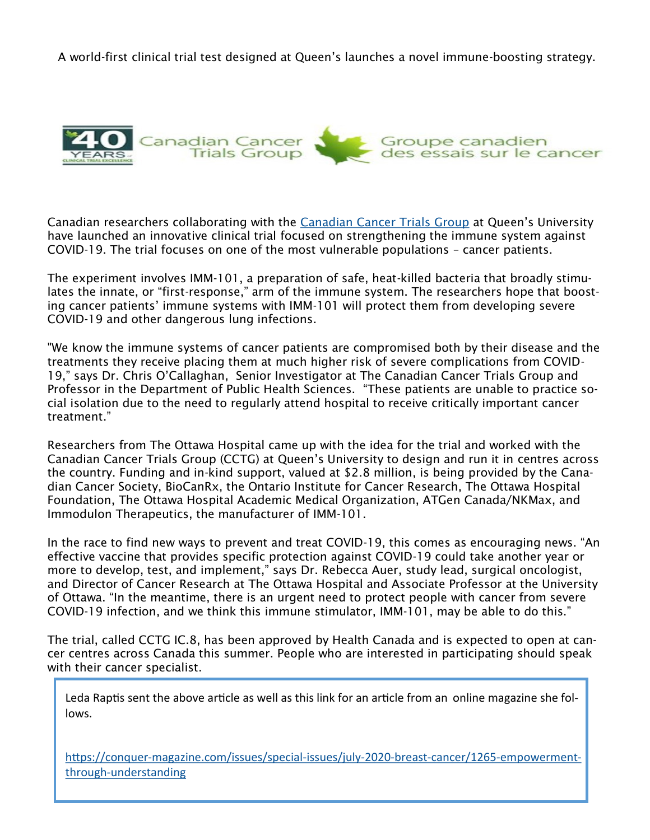A world-first clinical trial test designed at Queen's launches a novel immune-boosting strategy.



Canadian researchers collaborating with the [Canadian Cancer Trials Group](https://www.ctg.queensu.ca/) at Queen's University have launched an innovative clinical trial focused on strengthening the immune system against COVID-19. The trial focuses on one of the most vulnerable populations – cancer patients.

The experiment involves IMM-101, a preparation of safe, heat-killed bacteria that broadly stimulates the innate, or "first-response," arm of the immune system. The researchers hope that boosting cancer patients' immune systems with IMM-101 will protect them from developing severe COVID-19 and other dangerous lung infections.

"We know the immune systems of cancer patients are compromised both by their disease and the treatments they receive placing them at much higher risk of severe complications from COVID-19," says Dr. Chris O'Callaghan, Senior Investigator at The Canadian Cancer Trials Group and Professor in the Department of Public Health Sciences. "These patients are unable to practice social isolation due to the need to regularly attend hospital to receive critically important cancer treatment."

Researchers from The Ottawa Hospital came up with the idea for the trial and worked with the Canadian Cancer Trials Group (CCTG) at Queen's University to design and run it in centres across the country. Funding and in-kind support, valued at \$2.8 million, is being provided by the Canadian Cancer Society, BioCanRx, the Ontario Institute for Cancer Research, The Ottawa Hospital Foundation, The Ottawa Hospital Academic Medical Organization, ATGen Canada/NKMax, and Immodulon Therapeutics, the manufacturer of IMM-101.

In the race to find new ways to prevent and treat COVID-19, this comes as encouraging news. "An effective vaccine that provides specific protection against COVID-19 could take another year or more to develop, test, and implement," says Dr. Rebecca Auer, study lead, surgical oncologist, and Director of Cancer Research at The Ottawa Hospital and Associate Professor at the University of Ottawa. "In the meantime, there is an urgent need to protect people with cancer from severe COVID-19 infection, and we think this immune stimulator, IMM-101, may be able to do this."

The trial, called CCTG IC.8, has been approved by Health Canada and is expected to open at cancer centres across Canada this summer. People who are interested in participating should speak with their cancer specialist.

Leda Raptis sent the above article as well as this link for an article from an online magazine she follows.

https://conquer-[magazine.com/issues/special](https://conquer-magazine.com/issues/special-issues/july-2020-breast-cancer/1265-empowerment-through-understanding)-issues/july-2020-breast-cancer/1265-empowermentthrough-[understanding](https://conquer-magazine.com/issues/special-issues/july-2020-breast-cancer/1265-empowerment-through-understanding)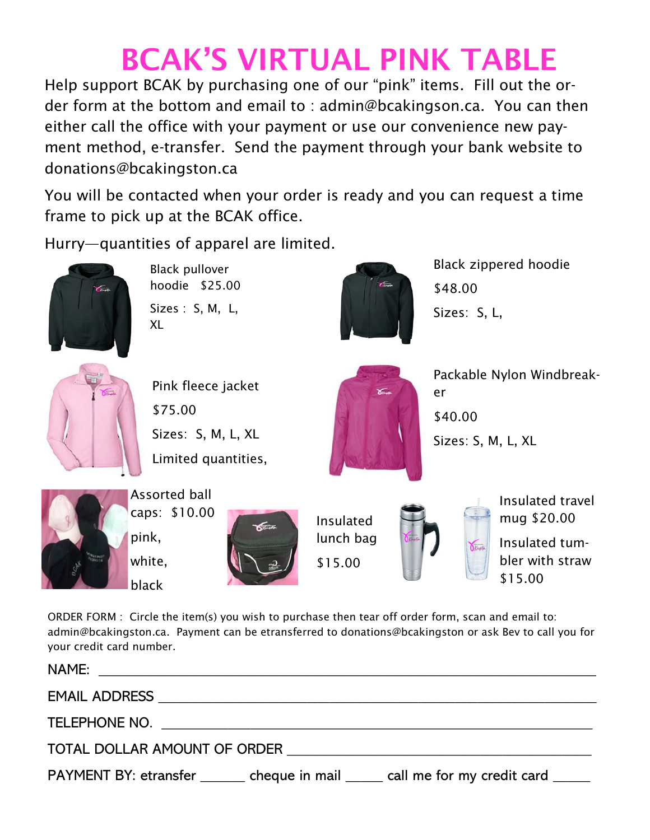# BCAK'S VIRTUAL PINK TABLE

Help support BCAK by purchasing one of our "pink" items. Fill out the order form at the bottom and email to : admin@bcakingson.ca. You can then either call the office with your payment or use our convenience new payment method, e-transfer. Send the payment through your bank website to donations@bcakingston.ca

You will be contacted when your order is ready and you can request a time frame to pick up at the BCAK office.

Hurry—quantities of apparel are limited.



Black pullover hoodie \$25.00 Sizes : S, M, L, XL



Pink fleece jacket \$75.00 Sizes: S, M, L, XL Limited quantities,



Black zippered hoodie \$48.00 Sizes: S, L,

Packable Nylon Windbreak-



Assorted ball caps: \$10.00 pink, white, black



Insulated lunch bag \$15.00



er

\$40.00

Sizes: S, M, L, XL

Insulated travel mug \$20.00 Insulated tum-

bler with straw \$15.00

ORDER FORM : Circle the item(s) you wish to purchase then tear off order form, scan and email to: admin@bcakingston.ca. Payment can be etransferred to donations@bcakingston or ask Bev to call you for your credit card number.

| TOTAL DOLLAR AMOUNT OF ORDER TOTAL TOTAL DOLLAR AMOUNT OF ORDER |                                                                                     |
|-----------------------------------------------------------------|-------------------------------------------------------------------------------------|
|                                                                 | PAYMENT BY: etransfer _______ cheque in mail _____ call me for my credit card _____ |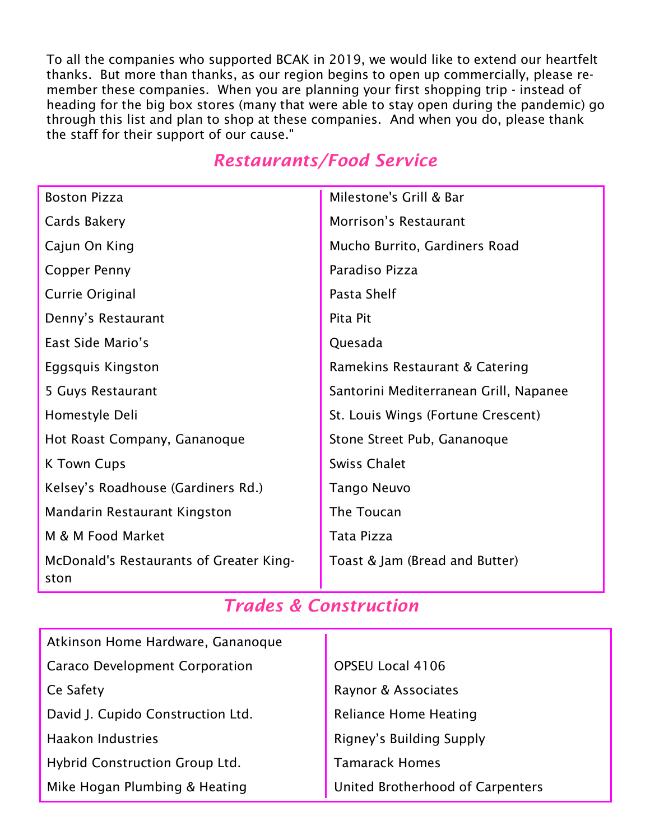To all the companies who supported BCAK in 2019, we would like to extend our heartfelt thanks. But more than thanks, as our region begins to open up commercially, please remember these companies. When you are planning your first shopping trip - instead of heading for the big box stores (many that were able to stay open during the pandemic) go through this list and plan to shop at these companies. And when you do, please thank the staff for their support of our cause."

#### *Restaurants/Food Service*

| <b>Boston Pizza</b>                             | Milestone's Grill & Bar                |
|-------------------------------------------------|----------------------------------------|
| Cards Bakery                                    | Morrison's Restaurant                  |
| Cajun On King                                   | Mucho Burrito, Gardiners Road          |
| Copper Penny                                    | Paradiso Pizza                         |
| Currie Original                                 | Pasta Shelf                            |
| Denny's Restaurant                              | Pita Pit                               |
| East Side Mario's                               | Quesada                                |
| Eggsquis Kingston                               | Ramekins Restaurant & Catering         |
| 5 Guys Restaurant                               | Santorini Mediterranean Grill, Napanee |
| Homestyle Deli                                  | St. Louis Wings (Fortune Crescent)     |
| Hot Roast Company, Gananoque                    | Stone Street Pub, Gananoque            |
| <b>K Town Cups</b>                              | <b>Swiss Chalet</b>                    |
| Kelsey's Roadhouse (Gardiners Rd.)              | Tango Neuvo                            |
| Mandarin Restaurant Kingston                    | The Toucan                             |
| M & M Food Market                               | Tata Pizza                             |
| McDonald's Restaurants of Greater King-<br>ston | Toast & Jam (Bread and Butter)         |

#### *Trades & Construction*

| Atkinson Home Hardware, Gananoque     |                                  |
|---------------------------------------|----------------------------------|
| <b>Caraco Development Corporation</b> | OPSEU Local 4106                 |
| Ce Safety                             | Raynor & Associates              |
| David J. Cupido Construction Ltd.     | <b>Reliance Home Heating</b>     |
| <b>Haakon Industries</b>              | Rigney's Building Supply         |
| Hybrid Construction Group Ltd.        | <b>Tamarack Homes</b>            |
| Mike Hogan Plumbing & Heating         | United Brotherhood of Carpenters |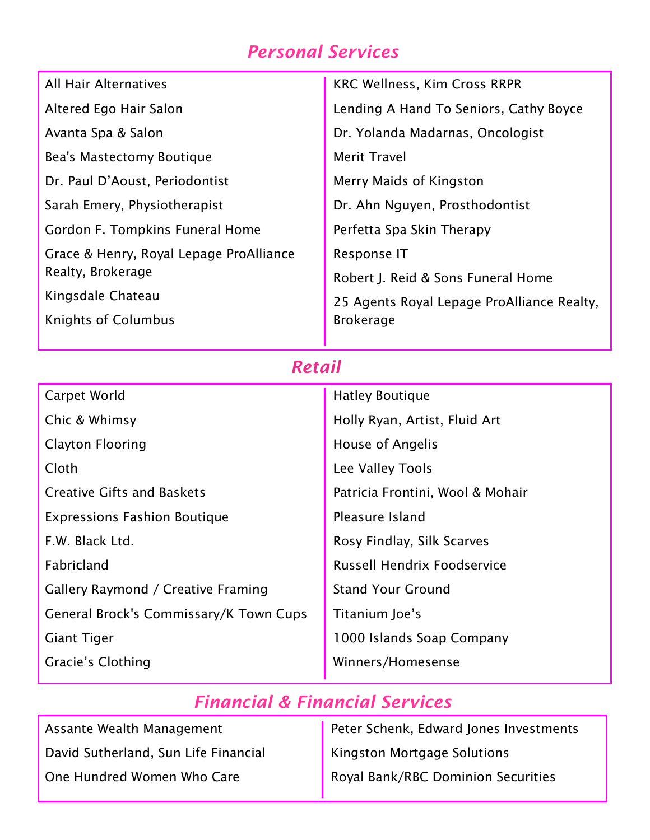## *Personal Services*

| <b>All Hair Alternatives</b>            | <b>KRC Wellness, Kim Cross RRPR</b>        |
|-----------------------------------------|--------------------------------------------|
| Altered Ego Hair Salon                  | Lending A Hand To Seniors, Cathy Boyce     |
| Avanta Spa & Salon                      | Dr. Yolanda Madarnas, Oncologist           |
| Bea's Mastectomy Boutique               | <b>Merit Travel</b>                        |
| Dr. Paul D'Aoust, Periodontist          | Merry Maids of Kingston                    |
| Sarah Emery, Physiotherapist            | Dr. Ahn Nguyen, Prosthodontist             |
| Gordon F. Tompkins Funeral Home         | Perfetta Spa Skin Therapy                  |
| Grace & Henry, Royal Lepage ProAlliance | Response IT                                |
| Realty, Brokerage                       | Robert J. Reid & Sons Funeral Home         |
| Kingsdale Chateau                       | 25 Agents Royal Lepage ProAlliance Realty, |
| <b>Knights of Columbus</b>              | <b>Brokerage</b>                           |
|                                         |                                            |

## *Retail*

| Carpet World                           | <b>Hatley Boutique</b>             |
|----------------------------------------|------------------------------------|
| Chic & Whimsy                          | Holly Ryan, Artist, Fluid Art      |
| <b>Clayton Flooring</b>                | <b>House of Angelis</b>            |
| Cloth                                  | Lee Valley Tools                   |
| <b>Creative Gifts and Baskets</b>      | Patricia Frontini, Wool & Mohair   |
| <b>Expressions Fashion Boutique</b>    | Pleasure Island                    |
| F.W. Black Ltd.                        | Rosy Findlay, Silk Scarves         |
| <b>Fabricland</b>                      | <b>Russell Hendrix Foodservice</b> |
| Gallery Raymond / Creative Framing     | <b>Stand Your Ground</b>           |
| General Brock's Commissary/K Town Cups | Titanium Joe's                     |
| <b>Giant Tiger</b>                     | 1000 Islands Soap Company          |
| Gracie's Clothing                      | Winners/Homesense                  |

## *Financial & Financial Services*

| Assante Wealth Management            | Peter Schenk, Edward Jones Investments |
|--------------------------------------|----------------------------------------|
| David Sutherland, Sun Life Financial | Kingston Mortgage Solutions            |
| One Hundred Women Who Care           | Royal Bank/RBC Dominion Securities     |